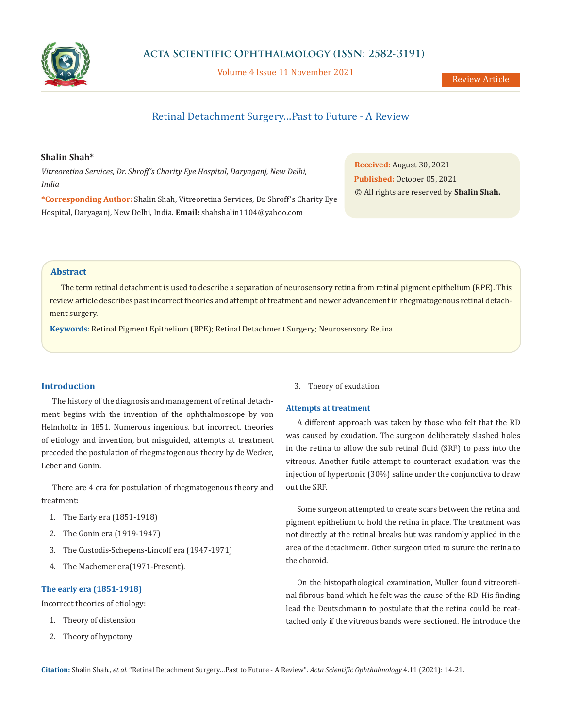

Volume 4 Issue 11 November 2021

# Retinal Detachment Surgery…Past to Future - A Review

# **Shalin Shah\***

*Vitreoretina Services, Dr. Shroff's Charity Eye Hospital, Daryaganj, New Delhi, India*

**\*Corresponding Author:** Shalin Shah, Vitreoretina Services, Dr. Shroff's Charity Eye Hospital, Daryaganj, New Delhi, India. **Email:** [shahshalin1104@yahoo.com](http:// shahshalin1104@yahoo.com)

**Received:** August 30, 2021 **Published:** October 05, 2021 © All rights are reserved by **Shalin Shah.**

# **Abstract**

The term retinal detachment is used to describe a separation of neurosensory retina from retinal pigment epithelium (RPE). This review article describes past incorrect theories and attempt of treatment and newer advancement in rhegmatogenous retinal detachment surgery.

**Keywords:** Retinal Pigment Epithelium (RPE); Retinal Detachment Surgery; Neurosensory Retina

# **Introduction**

The history of the diagnosis and management of retinal detachment begins with the invention of the ophthalmoscope by von Helmholtz in 1851. Numerous ingenious, but incorrect, theories of etiology and invention, but misguided, attempts at treatment preceded the postulation of rhegmatogenous theory by de Wecker, Leber and Gonin.

There are 4 era for postulation of rhegmatogenous theory and treatment:

- 1. The Early era (1851-1918)
- 2. The Gonin era (1919-1947)
- 3. The Custodis-Schepens-Lincoff era (1947-1971)
- 4. The Machemer era(1971-Present).

### **The early era (1851-1918)**

Incorrect theories of etiology:

- 1. Theory of distension
- 2. Theory of hypotony

3. Theory of exudation.

### **Attempts at treatment**

A different approach was taken by those who felt that the RD was caused by exudation. The surgeon deliberately slashed holes in the retina to allow the sub retinal fluid (SRF) to pass into the vitreous. Another futile attempt to counteract exudation was the injection of hypertonic (30%) saline under the conjunctiva to draw out the SRF.

Some surgeon attempted to create scars between the retina and pigment epithelium to hold the retina in place. The treatment was not directly at the retinal breaks but was randomly applied in the area of the detachment. Other surgeon tried to suture the retina to the choroid.

On the histopathological examination, Muller found vitreoretinal fibrous band which he felt was the cause of the RD. His finding lead the Deutschmann to postulate that the retina could be reattached only if the vitreous bands were sectioned. He introduce the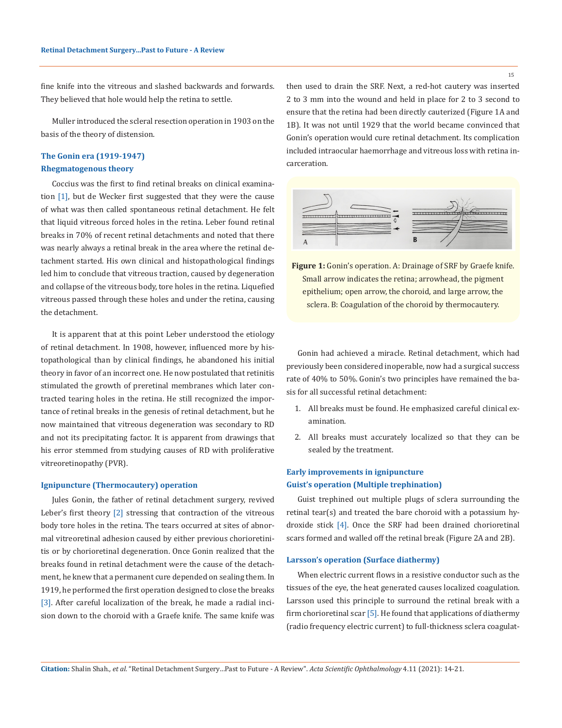fine knife into the vitreous and slashed backwards and forwards. They believed that hole would help the retina to settle.

Muller introduced the scleral resection operation in 1903 on the basis of the theory of distension.

# **The Gonin era (1919-1947) Rhegmatogenous theory**

Coccius was the first to find retinal breaks on clinical examination [1], but de Wecker first suggested that they were the cause of what was then called spontaneous retinal detachment. He felt that liquid vitreous forced holes in the retina. Leber found retinal breaks in 70% of recent retinal detachments and noted that there was nearly always a retinal break in the area where the retinal detachment started. His own clinical and histopathological findings led him to conclude that vitreous traction, caused by degeneration and collapse of the vitreous body, tore holes in the retina. Liquefied vitreous passed through these holes and under the retina, causing the detachment.

It is apparent that at this point Leber understood the etiology of retinal detachment. In 1908, however, influenced more by histopathological than by clinical findings, he abandoned his initial theory in favor of an incorrect one. He now postulated that retinitis stimulated the growth of preretinal membranes which later contracted tearing holes in the retina. He still recognized the importance of retinal breaks in the genesis of retinal detachment, but he now maintained that vitreous degeneration was secondary to RD and not its precipitating factor. It is apparent from drawings that his error stemmed from studying causes of RD with proliferative vitreoretinopathy (PVR).

### **Ignipuncture (Thermocautery) operation**

Jules Gonin, the father of retinal detachment surgery, revived Leber's first theory [2] stressing that contraction of the vitreous body tore holes in the retina. The tears occurred at sites of abnormal vitreoretinal adhesion caused by either previous chorioretinitis or by chorioretinal degeneration. Once Gonin realized that the breaks found in retinal detachment were the cause of the detachment, he knew that a permanent cure depended on sealing them. In 1919, he performed the first operation designed to close the breaks [3]. After careful localization of the break, he made a radial incision down to the choroid with a Graefe knife. The same knife was

then used to drain the SRF. Next, a red-hot cautery was inserted 2 to 3 mm into the wound and held in place for 2 to 3 second to ensure that the retina had been directly cauterized (Figure 1A and 1B). It was not until 1929 that the world became convinced that Gonin's operation would cure retinal detachment. Its complication included intraocular haemorrhage and vitreous loss with retina incarceration.



**Figure 1:** Gonin's operation. A: Drainage of SRF by Graefe knife. Small arrow indicates the retina; arrowhead, the pigment epithelium; open arrow, the choroid, and large arrow, the sclera. B: Coagulation of the choroid by thermocautery.

Gonin had achieved a miracle. Retinal detachment, which had previously been considered inoperable, now had a surgical success rate of 40% to 50%. Gonin's two principles have remained the basis for all successful retinal detachment:

- 1. All breaks must be found. He emphasized careful clinical examination.
- 2. All breaks must accurately localized so that they can be sealed by the treatment.

# **Early improvements in ignipuncture Guist's operation (Multiple trephination)**

Guist trephined out multiple plugs of sclera surrounding the retinal tear(s) and treated the bare choroid with a potassium hydroxide stick [4]. Once the SRF had been drained chorioretinal scars formed and walled off the retinal break (Figure 2A and 2B).

## **Larsson's operation (Surface diathermy)**

When electric current flows in a resistive conductor such as the tissues of the eye, the heat generated causes localized coagulation. Larsson used this principle to surround the retinal break with a firm chorioretinal scar [5]. He found that applications of diathermy (radio frequency electric current) to full-thickness sclera coagulat-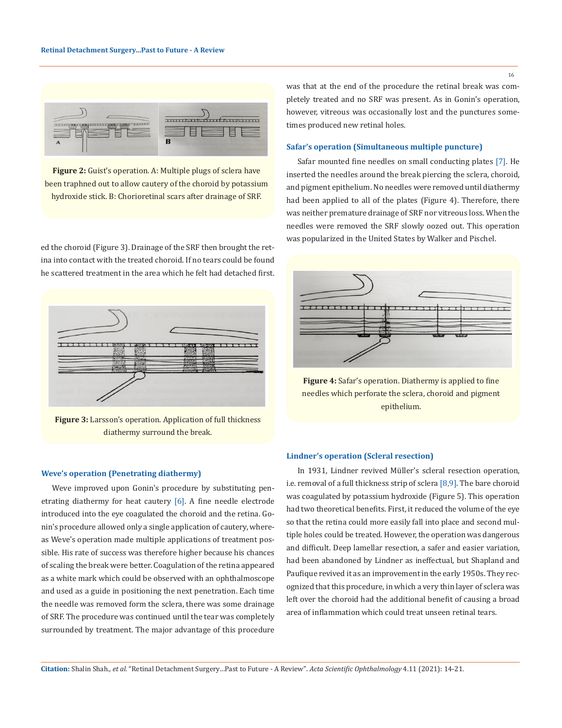

**Figure 2:** Guist's operation. A: Multiple plugs of sclera have been traphned out to allow cautery of the choroid by potassium hydroxide stick. B: Chorioretinal scars after drainage of SRF.

ed the choroid (Figure 3). Drainage of the SRF then brought the retina into contact with the treated choroid. If no tears could be found he scattered treatment in the area which he felt had detached first.



**Figure 3:** Larsson's operation. Application of full thickness diathermy surround the break.

### **Weve's operation (Penetrating diathermy)**

Weve improved upon Gonin's procedure by substituting penetrating diathermy for heat cautery [6]. A fine needle electrode introduced into the eye coagulated the choroid and the retina. Gonin's procedure allowed only a single application of cautery, whereas Weve's operation made multiple applications of treatment possible. His rate of success was therefore higher because his chances of scaling the break were better. Coagulation of the retina appeared as a white mark which could be observed with an ophthalmoscope and used as a guide in positioning the next penetration. Each time the needle was removed form the sclera, there was some drainage of SRF. The procedure was continued until the tear was completely surrounded by treatment. The major advantage of this procedure was that at the end of the procedure the retinal break was completely treated and no SRF was present. As in Gonin's operation, however, vitreous was occasionally lost and the punctures sometimes produced new retinal holes.

## **Safar's operation (Simultaneous multiple puncture)**

Safar mounted fine needles on small conducting plates [7]. He inserted the needles around the break piercing the sclera, choroid, and pigment epithelium. No needles were removed until diathermy had been applied to all of the plates (Figure 4). Therefore, there was neither premature drainage of SRF nor vitreous loss. When the needles were removed the SRF slowly oozed out. This operation was popularized in the United States by Walker and Pischel.



**Figure 4:** Safar's operation. Diathermy is applied to fine needles which perforate the sclera, choroid and pigment epithelium.

#### **Lindner's operation (Scleral resection)**

In 1931, Lindner revived Müller's scleral resection operation, i.e. removal of a full thickness strip of sclera [8,9]. The bare choroid was coagulated by potassium hydroxide (Figure 5). This operation had two theoretical benefits. First, it reduced the volume of the eye so that the retina could more easily fall into place and second multiple holes could be treated. However, the operation was dangerous and difficult. Deep lamellar resection, a safer and easier variation, had been abandoned by Lindner as ineffectual, but Shapland and Paufique revived it as an improvement in the early 1950s. They recognized that this procedure, in which a very thin layer of sclera was left over the choroid had the additional benefit of causing a broad area of inflammation which could treat unseen retinal tears.

16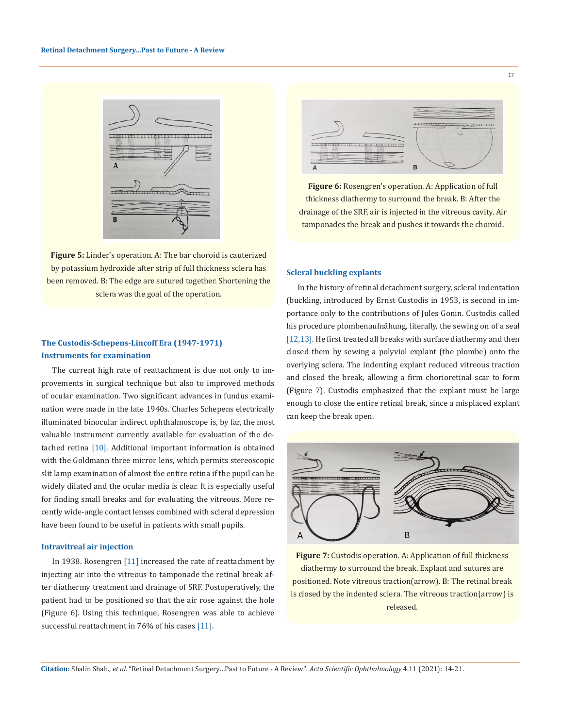

**Figure 5:** Linder's operation. A: The bar choroid is cauterized by potassium hydroxide after strip of full thickness sclera has been removed. B: The edge are sutured together. Shortening the sclera was the goal of the operation.

# **The Custodis-Schepens-Lincoff Era (1947-1971) Instruments for examination**

The current high rate of reattachment is due not only to improvements in surgical technique but also to improved methods of ocular examination. Two significant advances in fundus examination were made in the late 1940s. Charles Schepens electrically illuminated binocular indirect ophthalmoscope is, by far, the most valuable instrument currently available for evaluation of the detached retina [10]. Additional important information is obtained with the Goldmann three mirror lens, which permits stereoscopic slit lamp examination of almost the entire retina if the pupil can be widely dilated and the ocular media is clear. It is especially useful for finding small breaks and for evaluating the vitreous. More recently wide-angle contact lenses combined with scleral depression have been found to be useful in patients with small pupils.

## **Intravitreal air injection**

In 1938. Rosengren [11] increased the rate of reattachment by injecting air into the vitreous to tamponade the retinal break after diathermy treatment and drainage of SRF. Postoperatively, the patient had to be positioned so that the air rose against the hole (Figure 6). Using this technique, Rosengren was able to achieve successful reattachment in 76% of his cases [11].



17

**Figure 6:** Rosengren's operation. A: Application of full thickness diathermy to surround the break. B: After the drainage of the SRF, air is injected in the vitreous cavity. Air tamponades the break and pushes it towards the choroid.

### **Scleral buckling explants**

In the history of retinal detachment surgery, scleral indentation (buckling, introduced by Ernst Custodis in 1953, is second in importance only to the contributions of Jules Gonin. Custodis called his procedure plombenaufnähung, literally, the sewing on of a seal [12,13]. He first treated all breaks with surface diathermy and then closed them by sewing a polyviol explant (the plombe) onto the overlying sclera. The indenting explant reduced vitreous traction and closed the break, allowing a firm chorioretinal scar to form (Figure 7). Custodis emphasized that the explant must be large enough to close the entire retinal break, since a misplaced explant can keep the break open.



**Figure 7:** Custodis operation. A: Application of full thickness diathermy to surround the break. Explant and sutures are positioned. Note vitreous traction(arrow). B: The retinal break is closed by the indented sclera. The vitreous traction(arrow) is released.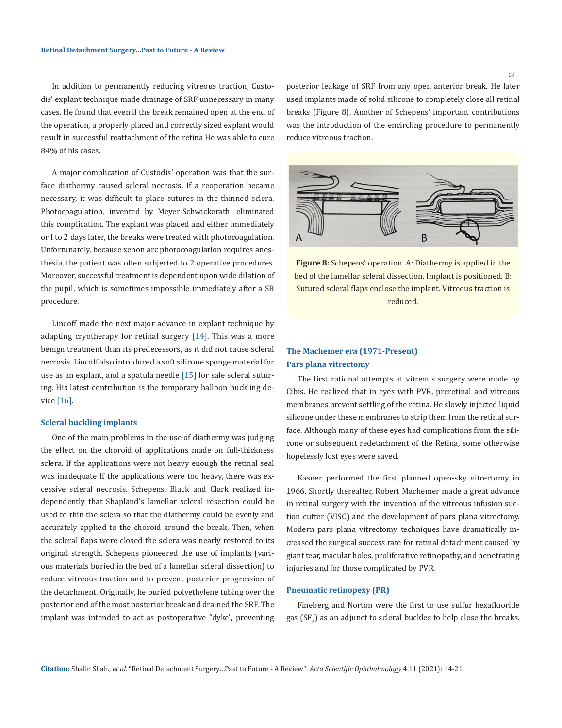In addition to permanently reducing vitreous traction, Custodis' explant technique made drainage of SRF unnecessary in many cases. He found that even if the break remained open at the end of the operation, a properly placed and correctly sized explant would result in successful reattachment of the retina He was able to cure 84% of his cases.

A major complication of Custodis' operation was that the surface diathermy caused scleral necrosis. If a reoperation became necessary, it was difficult to place sutures in the thinned sclera. Photocoagulation, invented by Meyer-Schwickerath, eliminated this complication. The explant was placed and either immediately or I to 2 days later, the breaks were treated with photocoagulation. Unfortunately, because xenon arc photocoagulation requires anesthesia, the patient was often subjected to 2 operative procedures. Moreover, successful treatment is dependent upon wide dilation of the pupil, which is sometimes impossible immediately after a SB procedure.

Lincoff made the next major advance in explant technique by adapting cryotherapy for retinal surgery [14]. This was a more benign treatment than its predecessors, as it did not cause scleral necrosis. Lincoff also introduced a soft silicone sponge material for use as an explant, and a spatula needle  $[15]$  for safe scleral suturing. His latest contribution is the temporary balloon buckling device [16].

#### **Scleral buckling implants**

One of the main problems in the use of diathermy was judging the effect on the choroid of applications made on full-thickness sclera. If the applications were not heavy enough the retinal seal was inadequate If the applications were too heavy, there was excessive scleral necrosis. Schepens, Black and Clark realized independently that Shapland's lamellar scleral resection could be used to thin the sclera so that the diathermy could be evenly and accurately applied to the choroid around the break. Then, when the scleral flaps were closed the sclera was nearly restored to its original strength. Schepens pioneered the use of implants (various materials buried in the bed of a lamellar scleral dissection) to reduce vitreous traction and to prevent posterior progression of the detachment. Originally, he buried polyethylene tubing over the posterior end of the most posterior break and drained the SRF. The implant was intended to act as postoperative "dyke", preventing posterior leakage of SRF from any open anterior break. He later used implants made of solid silicone to completely close all retinal breaks (Figure 8). Another of Schepens' important contributions was the introduction of the encircling procedure to permanently reduce vitreous traction.



**Figure 8:** Schepens' operation. A: Diathermy is applied in the bed of the lamellar scleral dissection. Implant is positioned. B: Sutured scleral flaps enclose the implant. Vitreous traction is reduced.

# **The Machemer era (1971-Present) Pars plana vitrectomy**

The first rational attempts at vitreous surgery were made by Cibis. He realized that in eyes with PVR, preretinal and vitreous membranes prevent settling of the retina. He slowly injected liquid silicone under these membranes to strip them from the retinal surface. Although many of these eyes had complications from the silicone or subsequent redetachment of the Retina, some otherwise hopelessly lost eyes were saved.

Kasner performed the first planned open-sky vitrectomy in 1966. Shortly thereafter, Robert Machemer made a great advance in retinal surgery with the invention of the vitreous infusion suction cutter (VISC) and the development of pars plana vitrectomy. Modern pars plana vitrectomy techniques have dramatically increased the surgical success rate for retinal detachment caused by giant tear, macular holes, proliferative retinopathy, and penetrating injuries and for those complicated by PVR.

## **Pneumatic retinopexy (PR)**

Fineberg and Norton were the first to use sulfur hexafluoride gas (SF $_{6}$ ) as an adjunct to scleral buckles to help close the breaks.

18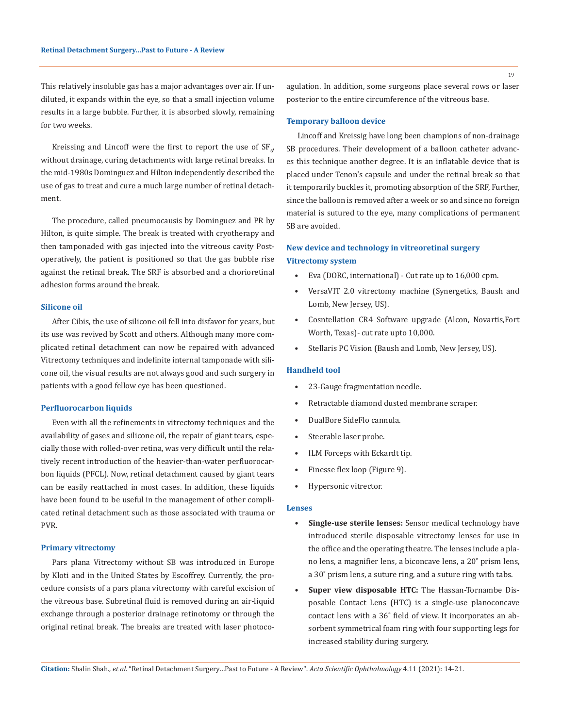This relatively insoluble gas has a major advantages over air. If undiluted, it expands within the eye, so that a small injection volume results in a large bubble. Further, it is absorbed slowly, remaining for two weeks.

Kreissing and Lincoff were the first to report the use of  $SF_{6'}$ without drainage, curing detachments with large retinal breaks. In the mid-1980s Dominguez and Hilton independently described the use of gas to treat and cure a much large number of retinal detachment.

The procedure, called pneumocausis by Dominguez and PR by Hilton, is quite simple. The break is treated with cryotherapy and then tamponaded with gas injected into the vitreous cavity Postoperatively, the patient is positioned so that the gas bubble rise against the retinal break. The SRF is absorbed and a chorioretinal adhesion forms around the break.

### **Silicone oil**

After Cibis, the use of silicone oil fell into disfavor for years, but its use was revived by Scott and others. Although many more complicated retinal detachment can now be repaired with advanced Vitrectomy techniques and indefinite internal tamponade with silicone oil, the visual results are not always good and such surgery in patients with a good fellow eye has been questioned.

### **Perfluorocarbon liquids**

Even with all the refinements in vitrectomy techniques and the availability of gases and silicone oil, the repair of giant tears, especially those with rolled-over retina, was very difficult until the relatively recent introduction of the heavier-than-water perfluorocarbon liquids (PFCL). Now, retinal detachment caused by giant tears can be easily reattached in most cases. In addition, these liquids have been found to be useful in the management of other complicated retinal detachment such as those associated with trauma or PVR.

#### **Primary vitrectomy**

Pars plana Vitrectomy without SB was introduced in Europe by Kloti and in the United States by Escoffrey. Currently, the procedure consists of a pars plana vitrectomy with careful excision of the vitreous base. Subretinal fluid is removed during an air-liquid exchange through a posterior drainage retinotomy or through the original retinal break. The breaks are treated with laser photocoagulation. In addition, some surgeons place several rows or laser posterior to the entire circumference of the vitreous base.

### **Temporary balloon device**

Lincoff and Kreissig have long been champions of non-drainage SB procedures. Their development of a balloon catheter advances this technique another degree. It is an inflatable device that is placed under Tenon's capsule and under the retinal break so that it temporarily buckles it, promoting absorption of the SRF, Further, since the balloon is removed after a week or so and since no foreign material is sutured to the eye, many complications of permanent SB are avoided.

# **New device and technology in vitreoretinal surgery Vitrectomy system**

- Eva (DORC, international) Cut rate up to 16,000 cpm.
- VersaVIT 2.0 vitrectomy machine (Synergetics, Baush and Lomb, New Jersey, US).
- Cosntellation CR4 Software upgrade (Alcon, Novartis,Fort Worth, Texas)- cut rate upto 10,000.
- Stellaris PC Vision (Baush and Lomb, New Jersey, US).

### **Handheld tool**

- 23-Gauge fragmentation needle.
- Retractable diamond dusted membrane scraper.
- DualBore SideFlo cannula.
- Steerable laser probe.
- ILM Forceps with Eckardt tip.
- Finesse flex loop (Figure 9).
- Hypersonic vitrector.

### **Lenses**

- **Single-use sterile lenses:** Sensor medical technology have introduced sterile disposable vitrectomy lenses for use in the office and the operating theatre. The lenses include a plano lens, a magnifier lens, a biconcave lens, a 20˚ prism lens, a 30˚ prism lens, a suture ring, and a suture ring with tabs.
- **• Super view disposable HTC:** The Hassan-Tornambe Disposable Contact Lens (HTC) is a single-use planoconcave contact lens with a 36˚ field of view. It incorporates an absorbent symmetrical foam ring with four supporting legs for increased stability during surgery.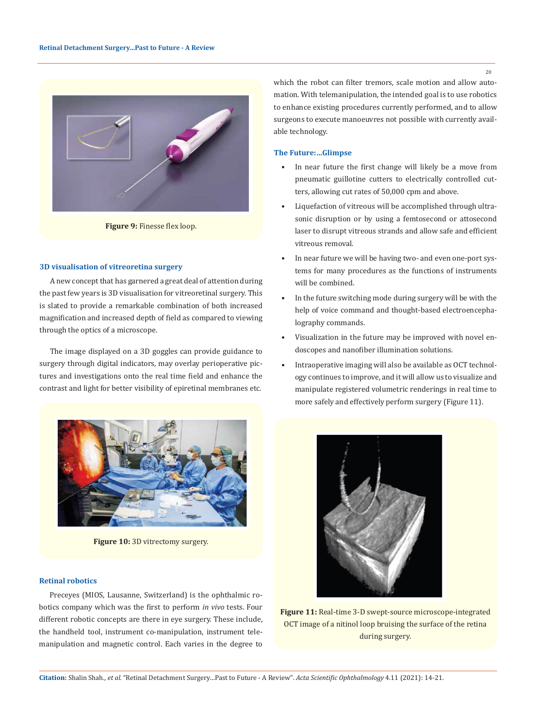

**Figure 9:** Finesse flex loop.

## **3D visualisation of vitreoretina surgery**

A new concept that has garnered a great deal of attention during the past few years is 3D visualisation for vitreoretinal surgery. This is slated to provide a remarkable combination of both increased magnification and increased depth of field as compared to viewing through the optics of a microscope.

The image displayed on a 3D goggles can provide guidance to surgery through digital indicators, may overlay perioperative pictures and investigations onto the real time field and enhance the contrast and light for better visibility of epiretinal membranes etc.



Figure 10: 3D vitrectomy surgery.

# **Retinal robotics**

Preceyes (MIOS, Lausanne, Switzerland) is the ophthalmic robotics company which was the first to perform *in vivo* tests. Four different robotic concepts are there in eye surgery. These include, the handheld tool, instrument co-manipulation, instrument telemanipulation and magnetic control. Each varies in the degree to

which the robot can filter tremors, scale motion and allow automation. With telemanipulation, the intended goal is to use robotics to enhance existing procedures currently performed, and to allow surgeons to execute manoeuvres not possible with currently available technology.

### **The Future:…Glimpse**

- In near future the first change will likely be a move from pneumatic guillotine cutters to electrically controlled cutters, allowing cut rates of 50,000 cpm and above.
- Liquefaction of vitreous will be accomplished through ultrasonic disruption or by using a femtosecond or attosecond laser to disrupt vitreous strands and allow safe and efficient vitreous removal.
- In near future we will be having two- and even one-port systems for many procedures as the functions of instruments will be combined.
- In the future switching mode during surgery will be with the help of voice command and thought-based electroencephalography commands.
- Visualization in the future may be improved with novel endoscopes and nanofiber illumination solutions.
- Intraoperative imaging will also be available as OCT technology continues to improve, and it will allow us to visualize and manipulate registered volumetric renderings in real time to more safely and effectively perform surgery (Figure 11).



**Figure 11:** Real-time 3-D swept-source microscope-integrated OCT image of a nitinol loop bruising the surface of the retina during surgery.